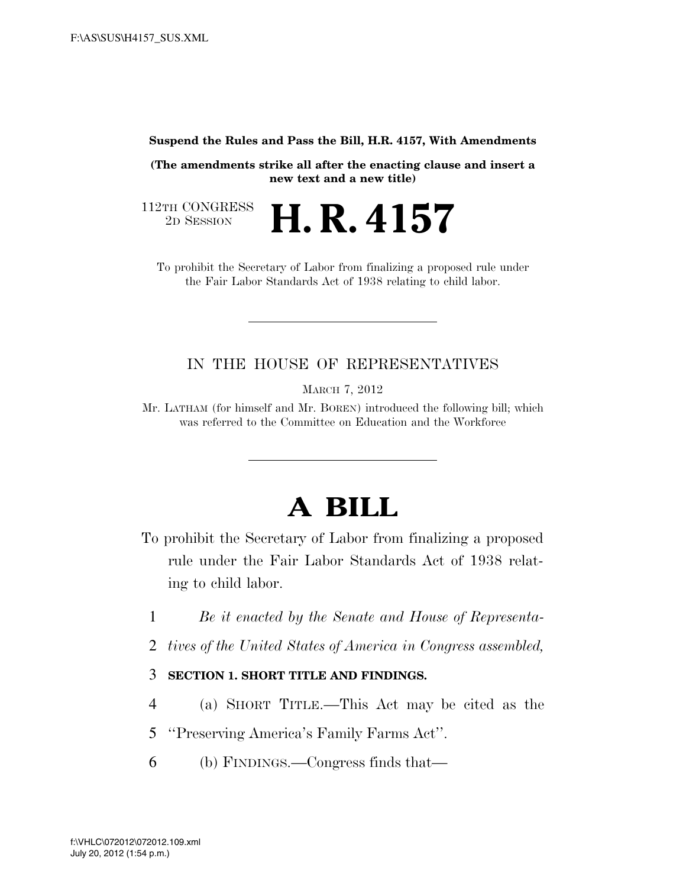#### **Suspend the Rules and Pass the Bill, H.R. 4157, With Amendments**

**(The amendments strike all after the enacting clause and insert a new text and a new title)** 

112TH CONGRESS<br>2D SESSION

2D SESSION **H. R. 4157**

To prohibit the Secretary of Labor from finalizing a proposed rule under the Fair Labor Standards Act of 1938 relating to child labor.

## IN THE HOUSE OF REPRESENTATIVES

MARCH 7, 2012

Mr. LATHAM (for himself and Mr. BOREN) introduced the following bill; which was referred to the Committee on Education and the Workforce

# **A BILL**

- To prohibit the Secretary of Labor from finalizing a proposed rule under the Fair Labor Standards Act of 1938 relating to child labor.
	- 1 *Be it enacted by the Senate and House of Representa-*
	- 2 *tives of the United States of America in Congress assembled,*

### 3 **SECTION 1. SHORT TITLE AND FINDINGS.**

- 4 (a) SHORT TITLE.—This Act may be cited as the
- 5 ''Preserving America's Family Farms Act''.
- 6 (b) FINDINGS.—Congress finds that—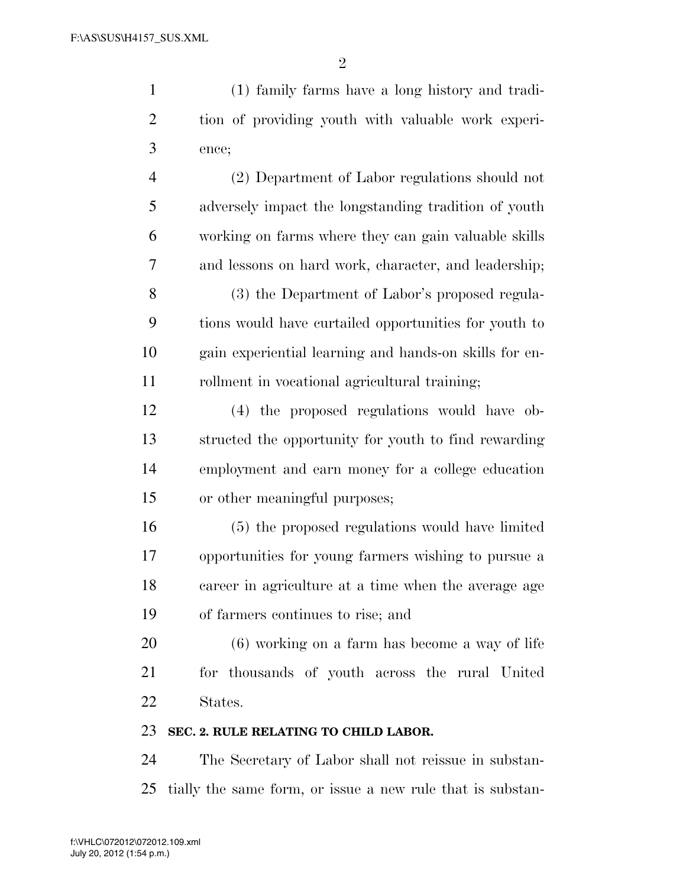(1) family farms have a long history and tradi- tion of providing youth with valuable work experi- ence; (2) Department of Labor regulations should not

 adversely impact the longstanding tradition of youth working on farms where they can gain valuable skills and lessons on hard work, character, and leadership; (3) the Department of Labor's proposed regula- tions would have curtailed opportunities for youth to gain experiential learning and hands-on skills for en-11 rollment in vocational agricultural training;

 (4) the proposed regulations would have ob- structed the opportunity for youth to find rewarding employment and earn money for a college education or other meaningful purposes;

 (5) the proposed regulations would have limited opportunities for young farmers wishing to pursue a career in agriculture at a time when the average age of farmers continues to rise; and

 (6) working on a farm has become a way of life for thousands of youth across the rural United States.

### **SEC. 2. RULE RELATING TO CHILD LABOR.**

 The Secretary of Labor shall not reissue in substan-tially the same form, or issue a new rule that is substan